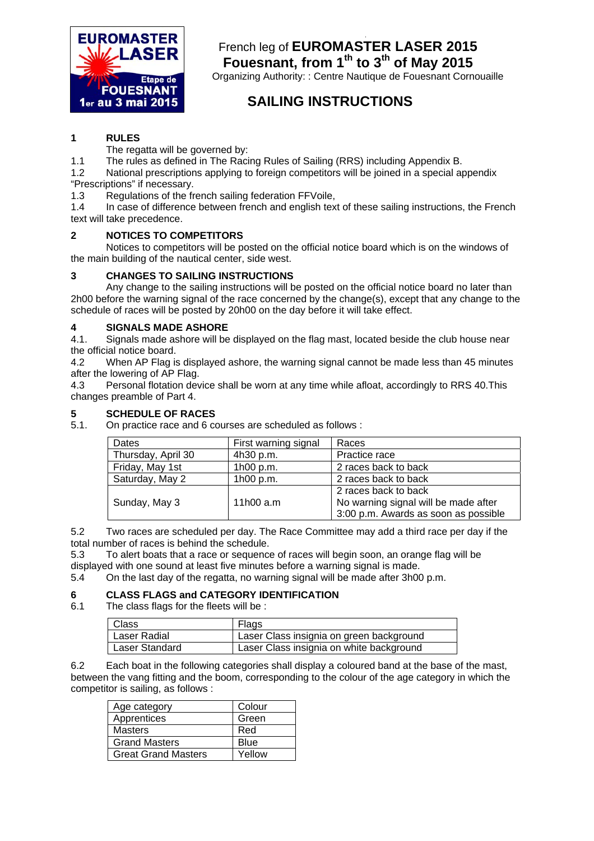

# **I**  French leg of **EUROMASTER LASER 2015** Fouesnant, from 1<sup>th</sup> to 3<sup>th</sup> of May 2015

Organizing Authority: : Centre Nautique de Fouesnant Cornouaille

# **SAILING INSTRUCTIONS**

# **1 RULES**

The regatta will be governed by:

1.1 The rules as defined in The Racing Rules of Sailing (RRS) including Appendix B.

1.2 National prescriptions applying to foreign competitors will be joined in a special appendix "Prescriptions" if necessary.

1.3 Regulations of the french sailing federation FFVoile,

1.4 In case of difference between french and english text of these sailing instructions, the French text will take precedence.

# **2 NOTICES TO COMPETITORS**

 Notices to competitors will be posted on the official notice board which is on the windows of the main building of the nautical center, side west.

# **3 CHANGES TO SAILING INSTRUCTIONS**

Any change to the sailing instructions will be posted on the official notice board no later than 2h00 before the warning signal of the race concerned by the change(s), except that any change to the schedule of races will be posted by 20h00 on the day before it will take effect.

# **4 SIGNALS MADE ASHORE**

4.1. Signals made ashore will be displayed on the flag mast, located beside the club house near the official notice board.

4.2 When AP Flag is displayed ashore, the warning signal cannot be made less than 45 minutes after the lowering of AP Flag.

4.3 Personal flotation device shall be worn at any time while afloat, accordingly to RRS 40.This changes preamble of Part 4.

# **5 SCHEDULE OF RACES**

5.1. On practice race and 6 courses are scheduled as follows :

| Dates              | First warning signal | Races                                                                                                |
|--------------------|----------------------|------------------------------------------------------------------------------------------------------|
| Thursday, April 30 | 4h30 p.m.            | Practice race                                                                                        |
| Friday, May 1st    | 1h00 p.m.            | 2 races back to back                                                                                 |
| Saturday, May 2    | 1h00 p.m.            | 2 races back to back                                                                                 |
| Sunday, May 3      | 11 $h$ 00 a.m        | 2 races back to back<br>No warning signal will be made after<br>3:00 p.m. Awards as soon as possible |

5.2 Two races are scheduled per day. The Race Committee may add a third race per day if the total number of races is behind the schedule.

5.3 To alert boats that a race or sequence of races will begin soon, an orange flag will be displayed with one sound at least five minutes before a warning signal is made.

5.4 On the last day of the regatta, no warning signal will be made after 3h00 p.m.

### **6 CLASS FLAGS and CATEGORY IDENTIFICATION**

6.1 The class flags for the fleets will be :

| <b>Class</b>   | Flags                                    |
|----------------|------------------------------------------|
| Laser Radial   | Laser Class insignia on green background |
| Laser Standard | Laser Class insignia on white background |

6.2 Each boat in the following categories shall display a coloured band at the base of the mast, between the vang fitting and the boom, corresponding to the colour of the age category in which the competitor is sailing, as follows :

| Age category               | Colour |  |
|----------------------------|--------|--|
| Apprentices                | Green  |  |
| <b>Masters</b>             | Red    |  |
| <b>Grand Masters</b>       | Blue   |  |
| <b>Great Grand Masters</b> | Yellow |  |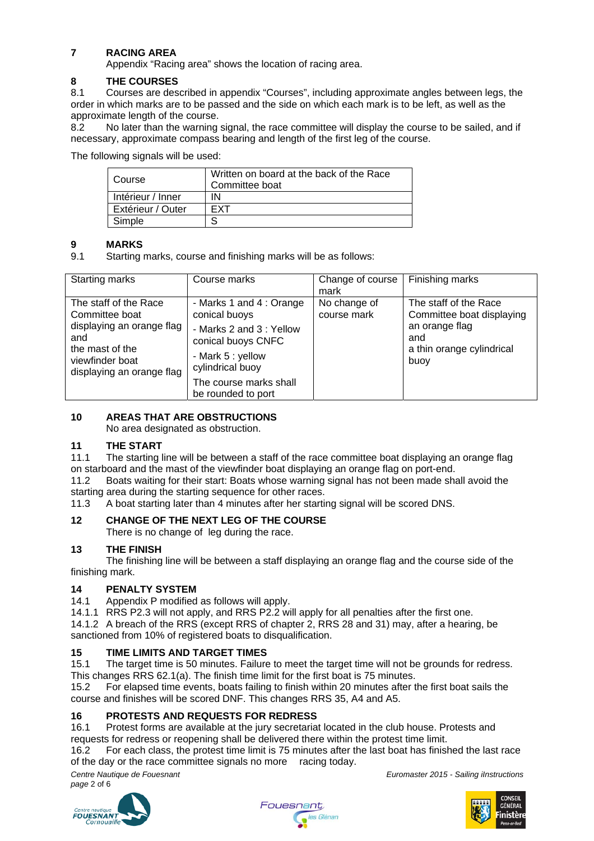# **7 RACING AREA**

Appendix "Racing area" shows the location of racing area.

# **8 THE COURSES**

8.1 Courses are described in appendix "Courses", including approximate angles between legs, the order in which marks are to be passed and the side on which each mark is to be left, as well as the approximate length of the course.

8.2 No later than the warning signal, the race committee will display the course to be sailed, and if necessary, approximate compass bearing and length of the first leg of the course.

The following signals will be used:

| Course            | Written on board at the back of the Race<br>Committee boat |  |
|-------------------|------------------------------------------------------------|--|
| Intérieur / Inner | ΙN                                                         |  |
| Extérieur / Outer | <b>FXT</b>                                                 |  |
| Simple            |                                                            |  |

# **9 MARKS**

9.1 Starting marks, course and finishing marks will be as follows:

| Starting marks                                                                                                                                 | Course marks                                                                                                                                                                        | Change of course<br>mark    | Finishing marks                                                                                                  |
|------------------------------------------------------------------------------------------------------------------------------------------------|-------------------------------------------------------------------------------------------------------------------------------------------------------------------------------------|-----------------------------|------------------------------------------------------------------------------------------------------------------|
| The staff of the Race<br>Committee boat<br>displaying an orange flag<br>and<br>the mast of the<br>viewfinder boat<br>displaying an orange flag | - Marks 1 and 4 : Orange<br>conical buoys<br>- Marks 2 and 3: Yellow<br>conical buoys CNFC<br>- Mark 5 : yellow<br>cylindrical buoy<br>The course marks shall<br>be rounded to port | No change of<br>course mark | The staff of the Race<br>Committee boat displaying<br>an orange flag<br>and<br>a thin orange cylindrical<br>buoy |

# **10 AREAS THAT ARE OBSTRUCTIONS**

No area designated as obstruction.

# **11 THE START**

11.1 The starting line will be between a staff of the race committee boat displaying an orange flag on starboard and the mast of the viewfinder boat displaying an orange flag on port-end.

11.2 Boats waiting for their start: Boats whose warning signal has not been made shall avoid the starting area during the starting sequence for other races.

11.3 A boat starting later than 4 minutes after her starting signal will be scored DNS.

# **12 CHANGE OF THE NEXT LEG OF THE COURSE**

There is no change of leg during the race.

# **13 THE FINISH**

The finishing line will be between a staff displaying an orange flag and the course side of the finishing mark.

# **14 PENALTY SYSTEM**

14.1 Appendix P modified as follows will apply.

14.1.1 RRS P2.3 will not apply, and RRS P2.2 will apply for all penalties after the first one.

14.1.2 A breach of the RRS (except RRS of chapter 2, RRS 28 and 31) may, after a hearing, be sanctioned from 10% of registered boats to disqualification.

# **15 TIME LIMITS AND TARGET TIMES**

15.1 The target time is 50 minutes. Failure to meet the target time will not be grounds for redress. This changes RRS 62.1(a). The finish time limit for the first boat is 75 minutes.

15.2 For elapsed time events, boats failing to finish within 20 minutes after the first boat sails the course and finishes will be scored DNF. This changes RRS 35, A4 and A5.

# **16 PROTESTS AND REQUESTS FOR REDRESS**

16.1 Protest forms are available at the jury secretariat located in the club house. Protests and requests for redress or reopening shall be delivered there within the protest time limit.

16.2 For each class, the protest time limit is 75 minutes after the last boat has finished the last race of the day or the race committee signals no more racing today.

*Centre Nautique de Fouesnant Euromaster 2015 - Sailing iInstructions page* 2 of 6

**FOUESNANT** 



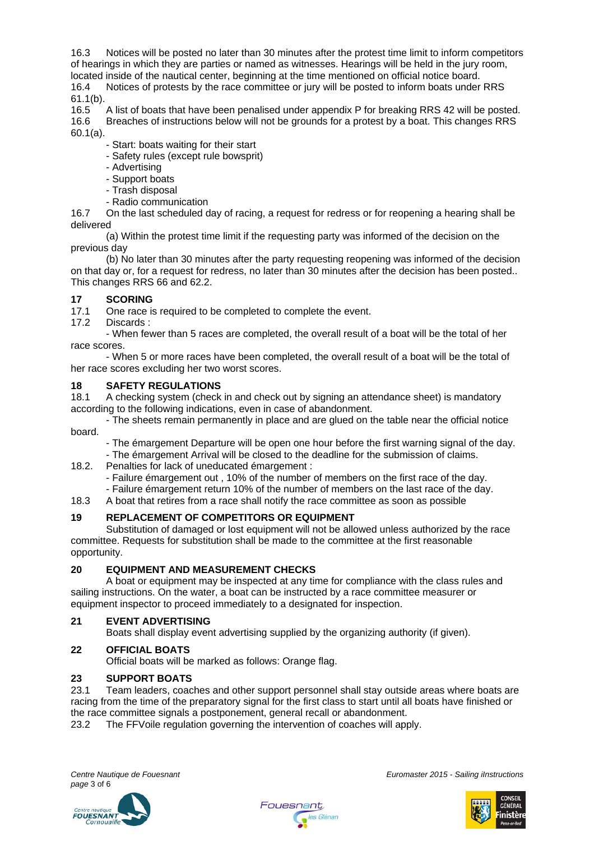16.3 Notices will be posted no later than 30 minutes after the protest time limit to inform competitors of hearings in which they are parties or named as witnesses. Hearings will be held in the jury room, located inside of the nautical center, beginning at the time mentioned on official notice board. 16.4 Notices of protests by the race committee or jury will be posted to inform boats under RRS 61.1(b).

16.5 A list of boats that have been penalised under appendix P for breaking RRS 42 will be posted. 16.6 Breaches of instructions below will not be grounds for a protest by a boat. This changes RRS 60.1(a).

- Start: boats waiting for their start
- Safety rules (except rule bowsprit)
- Advertising
- Support boats
- Trash disposal
- Radio communication

16.7 On the last scheduled day of racing, a request for redress or for reopening a hearing shall be delivered

(a) Within the protest time limit if the requesting party was informed of the decision on the previous day

(b) No later than 30 minutes after the party requesting reopening was informed of the decision on that day or, for a request for redress, no later than 30 minutes after the decision has been posted.. This changes RRS 66 and 62.2.

### **17 SCORING**

17.1 One race is required to be completed to complete the event.

17.2 Discards :

- When fewer than 5 races are completed, the overall result of a boat will be the total of her race scores.

- When 5 or more races have been completed, the overall result of a boat will be the total of her race scores excluding her two worst scores.

### **18 SAFETY REGULATIONS**

18.1 A checking system (check in and check out by signing an attendance sheet) is mandatory according to the following indications, even in case of abandonment.

 - The sheets remain permanently in place and are glued on the table near the official notice board.

- The émargement Departure will be open one hour before the first warning signal of the day. - The émargement Arrival will be closed to the deadline for the submission of claims.
- 18.2. Penalties for lack of uneducated émargement :
	- Failure émargement out , 10% of the number of members on the first race of the day.
	- Failure émargement return 10% of the number of members on the last race of the day.

18.3 A boat that retires from a race shall notify the race committee as soon as possible

# **19 REPLACEMENT OF COMPETITORS OR EQUIPMENT**

 Substitution of damaged or lost equipment will not be allowed unless authorized by the race committee. Requests for substitution shall be made to the committee at the first reasonable opportunity.

### **20 EQUIPMENT AND MEASUREMENT CHECKS**

A boat or equipment may be inspected at any time for compliance with the class rules and sailing instructions. On the water, a boat can be instructed by a race committee measurer or equipment inspector to proceed immediately to a designated for inspection.

### **21 EVENT ADVERTISING**

Boats shall display event advertising supplied by the organizing authority (if given).

### **22 OFFICIAL BOATS**

Official boats will be marked as follows: Orange flag.

### **23 SUPPORT BOATS**

23.1 Team leaders, coaches and other support personnel shall stay outside areas where boats are racing from the time of the preparatory signal for the first class to start until all boats have finished or the race committee signals a postponement, general recall or abandonment.

23.2 The FFVoile regulation governing the intervention of coaches will apply.

**FOUESNANT** 

*Centre Nautique de Fouesnant Euromaster 2015 - Sailing iInstructions* 



Fouesnant **es** Glénan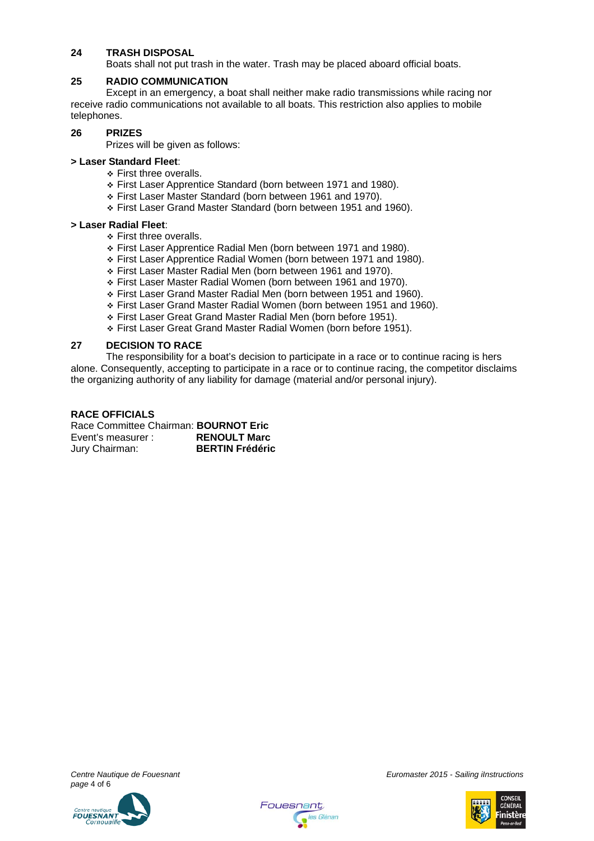### **24 TRASH DISPOSAL**

Boats shall not put trash in the water. Trash may be placed aboard official boats.

#### **25 RADIO COMMUNICATION**

Except in an emergency, a boat shall neither make radio transmissions while racing nor receive radio communications not available to all boats. This restriction also applies to mobile telephones.

#### **26 PRIZES**

Prizes will be given as follows:

### **> Laser Standard Fleet**:

- ◆ First three overalls.
- First Laser Apprentice Standard (born between 1971 and 1980).
- First Laser Master Standard (born between 1961 and 1970).
- First Laser Grand Master Standard (born between 1951 and 1960).

#### **> Laser Radial Fleet**:

- **Eirst three overalls.**
- First Laser Apprentice Radial Men (born between 1971 and 1980).
- First Laser Apprentice Radial Women (born between 1971 and 1980).
- First Laser Master Radial Men (born between 1961 and 1970).
- First Laser Master Radial Women (born between 1961 and 1970).
- First Laser Grand Master Radial Men (born between 1951 and 1960).
- First Laser Grand Master Radial Women (born between 1951 and 1960).
- First Laser Great Grand Master Radial Men (born before 1951).
- First Laser Great Grand Master Radial Women (born before 1951).

#### **27 DECISION TO RACE**

The responsibility for a boat's decision to participate in a race or to continue racing is hers alone. Consequently, accepting to participate in a race or to continue racing, the competitor disclaims the organizing authority of any liability for damage (material and/or personal injury).

### **RACE OFFICIALS**

Race Committee Chairman: **BOURNOT Eric**  Event's measurer : **RENOULT Marc** Jury Chairman: **BERTIN Frédéric**

*page* 4 of 6



*Centre Nautique de Fouesnant Euromaster 2015 - Sailing iInstructions* 



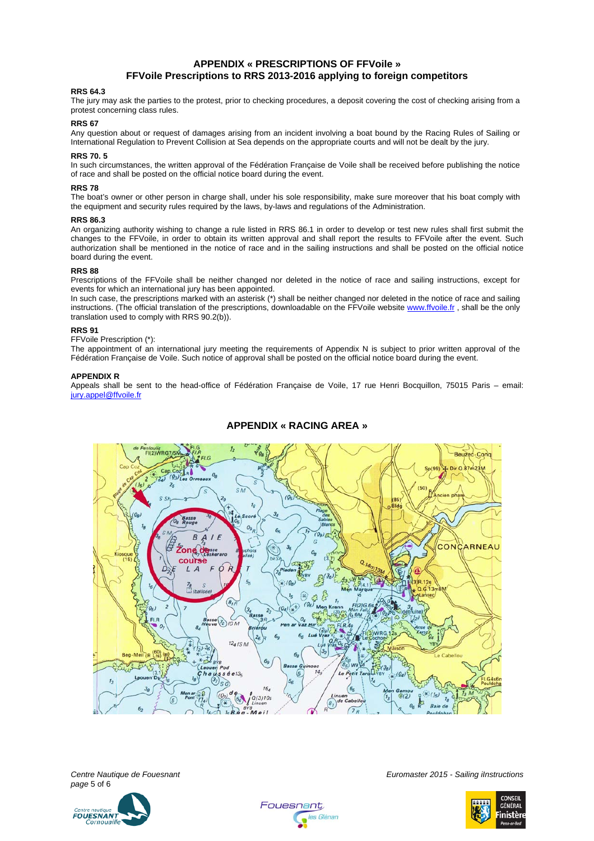#### **APPENDIX « PRESCRIPTIONS OF FFVoile » FFVoile Prescriptions to RRS 2013-2016 applying to foreign competitors**

#### **RRS 64.3**

The jury may ask the parties to the protest, prior to checking procedures, a deposit covering the cost of checking arising from a protest concerning class rules.

#### **RRS 67**

Any question about or request of damages arising from an incident involving a boat bound by the Racing Rules of Sailing or International Regulation to Prevent Collision at Sea depends on the appropriate courts and will not be dealt by the jury.

#### **RRS 70. 5**

In such circumstances, the written approval of the Fédération Française de Voile shall be received before publishing the notice of race and shall be posted on the official notice board during the event.

#### **RRS 78**

The boat's owner or other person in charge shall, under his sole responsibility, make sure moreover that his boat comply with the equipment and security rules required by the laws, by-laws and regulations of the Administration.

#### **RRS 86.3**

An organizing authority wishing to change a rule listed in RRS 86.1 in order to develop or test new rules shall first submit the changes to the FFVoile, in order to obtain its written approval and shall report the results to FFVoile after the event. Such authorization shall be mentioned in the notice of race and in the sailing instructions and shall be posted on the official notice board during the event.

#### **RRS 88**

Prescriptions of the FFVoile shall be neither changed nor deleted in the notice of race and sailing instructions, except for events for which an international jury has been appointed.

In such case, the prescriptions marked with an asterisk (\*) shall be neither changed nor deleted in the notice of race and sailing instructions. (The official translation of the prescriptions, downloadable on the FFVoile website www.ffvoile.fr, shall be the only translation used to comply with RRS 90.2(b)).

#### **RRS 91**

FFVoile Prescription (\*):

The appointment of an international jury meeting the requirements of Appendix N is subject to prior written approval of the Fédération Française de Voile. Such notice of approval shall be posted on the official notice board during the event.

#### **APPENDIX R**

Appeals shall be sent to the head-office of Fédération Française de Voile, 17 rue Henri Bocquillon, 75015 Paris – email: jury.appel@ffvoile.fr



### **APPENDIX « RACING AREA »**

*page* 5 of 6



*Centre Nautique de Fouesnant Euromaster 2015 - Sailing iInstructions*